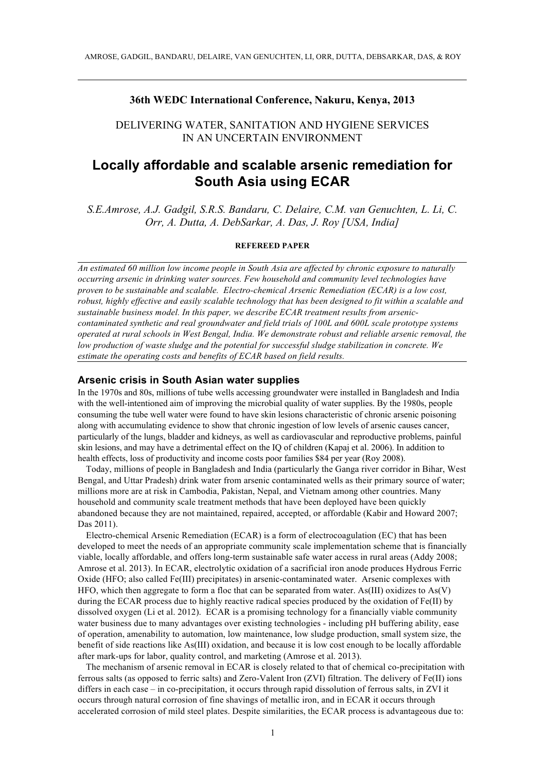#### **36th WEDC International Conference, Nakuru, Kenya, 2013**

# DELIVERING WATER, SANITATION AND HYGIENE SERVICES IN AN UNCERTAIN ENVIRONMENT

# **Locally affordable and scalable arsenic remediation for South Asia using ECAR**

*S.E.Amrose, A.J. Gadgil, S.R.S. Bandaru, C. Delaire, C.M. van Genuchten, L. Li, C. Orr, A. Dutta, A. DebSarkar, A. Das, J. Roy [USA, India]*

#### **REFEREED PAPER**

*An estimated 60 million low income people in South Asia are affected by chronic exposure to naturally occurring arsenic in drinking water sources. Few household and community level technologies have proven to be sustainable and scalable. Electro-chemical Arsenic Remediation (ECAR) is a low cost, robust, highly effective and easily scalable technology that has been designed to fit within a scalable and sustainable business model. In this paper, we describe ECAR treatment results from arseniccontaminated synthetic and real groundwater and field trials of 100L and 600L scale prototype systems operated at rural schools in West Bengal, India. We demonstrate robust and reliable arsenic removal, the low production of waste sludge and the potential for successful sludge stabilization in concrete. We estimate the operating costs and benefits of ECAR based on field results.*

#### **Arsenic crisis in South Asian water supplies**

In the 1970s and 80s, millions of tube wells accessing groundwater were installed in Bangladesh and India with the well-intentioned aim of improving the microbial quality of water supplies. By the 1980s, people consuming the tube well water were found to have skin lesions characteristic of chronic arsenic poisoning along with accumulating evidence to show that chronic ingestion of low levels of arsenic causes cancer, particularly of the lungs, bladder and kidneys, as well as cardiovascular and reproductive problems, painful skin lesions, and may have a detrimental effect on the IQ of children (Kapaj et al. 2006). In addition to health effects, loss of productivity and income costs poor families \$84 per year (Roy 2008).

Today, millions of people in Bangladesh and India (particularly the Ganga river corridor in Bihar, West Bengal, and Uttar Pradesh) drink water from arsenic contaminated wells as their primary source of water; millions more are at risk in Cambodia, Pakistan, Nepal, and Vietnam among other countries. Many household and community scale treatment methods that have been deployed have been quickly abandoned because they are not maintained, repaired, accepted, or affordable (Kabir and Howard 2007; Das 2011).

Electro-chemical Arsenic Remediation (ECAR) is a form of electrocoagulation (EC) that has been developed to meet the needs of an appropriate community scale implementation scheme that is financially viable, locally affordable, and offers long-term sustainable safe water access in rural areas (Addy 2008; Amrose et al. 2013). In ECAR, electrolytic oxidation of a sacrificial iron anode produces Hydrous Ferric Oxide (HFO; also called Fe(III) precipitates) in arsenic-contaminated water. Arsenic complexes with HFO, which then aggregate to form a floc that can be separated from water. As(III) oxidizes to As(V) during the ECAR process due to highly reactive radical species produced by the oxidation of Fe(II) by dissolved oxygen (Li et al. 2012). ECAR is a promising technology for a financially viable community water business due to many advantages over existing technologies - including pH buffering ability, ease of operation, amenability to automation, low maintenance, low sludge production, small system size, the benefit of side reactions like As(III) oxidation, and because it is low cost enough to be locally affordable after mark-ups for labor, quality control, and marketing (Amrose et al. 2013).

The mechanism of arsenic removal in ECAR is closely related to that of chemical co-precipitation with ferrous salts (as opposed to ferric salts) and Zero-Valent Iron (ZVI) filtration. The delivery of Fe(II) ions differs in each case – in co-precipitation, it occurs through rapid dissolution of ferrous salts, in ZVI it occurs through natural corrosion of fine shavings of metallic iron, and in ECAR it occurs through accelerated corrosion of mild steel plates. Despite similarities, the ECAR process is advantageous due to: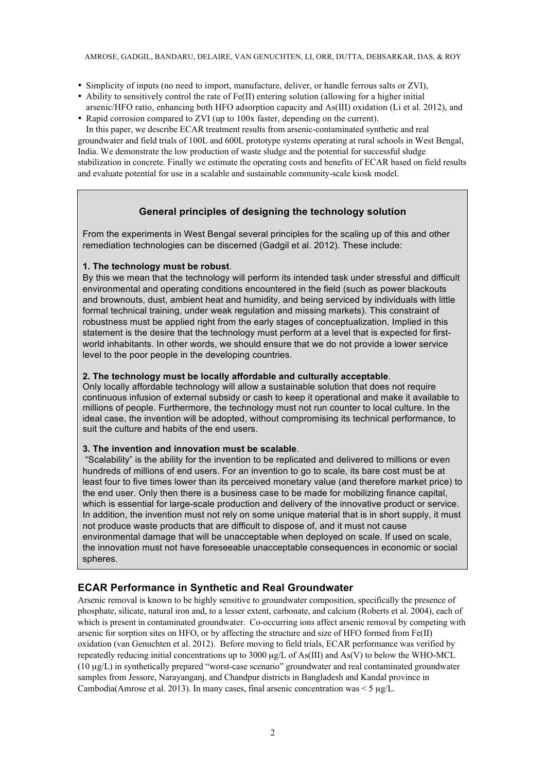- Simplicity of inputs (no need to import, manufacture, deliver, or handle ferrous salts or ZVI),
- Ability to sensitively control the rate of  $Fe(II)$  entering solution (allowing for a higher initial arsenic/HFO ratio, enhancing both HFO adsorption capacity and As(III) oxidation (Li et al. 2012), and
- Rapid corrosion compared to ZVI (up to 100x faster, depending on the current).

In this paper, we describe ECAR treatment results from arsenic-contaminated synthetic and real groundwater and field trials of 100L and 600L prototype systems operating at rural schools in West Bengal, India. We demonstrate the low production of waste sludge and the potential for successful sludge stabilization in concrete. Finally we estimate the operating costs and benefits of ECAR based on field results and evaluate potential for use in a scalable and sustainable community-scale kiosk model.

## **General principles of designing the technology solution**

From the experiments in West Bengal several principles for the scaling up of this and other remediation technologies can be discerned (Gadgil et al. 2012). These include:

## **1. The technology must be robust**.

By this we mean that the technology will perform its intended task under stressful and difficult environmental and operating conditions encountered in the field (such as power blackouts and brownouts, dust, ambient heat and humidity, and being serviced by individuals with little formal technical training, under weak regulation and missing markets). This constraint of robustness must be applied right from the early stages of conceptualization. Implied in this statement is the desire that the technology must perform at a level that is expected for firstworld inhabitants. In other words, we should ensure that we do not provide a lower service level to the poor people in the developing countries.

## **2. The technology must be locally affordable and culturally acceptable**.

Only locally affordable technology will allow a sustainable solution that does not require continuous infusion of external subsidy or cash to keep it operational and make it available to millions of people. Furthermore, the technology must not run counter to local culture. In the ideal case, the invention will be adopted, without compromising its technical performance, to suit the culture and habits of the end users.

## **3. The invention and innovation must be scalable**.

"Scalability" is the ability for the invention to be replicated and delivered to millions or even hundreds of millions of end users. For an invention to go to scale, its bare cost must be at least four to five times lower than its perceived monetary value (and therefore market price) to the end user. Only then there is a business case to be made for mobilizing finance capital, which is essential for large-scale production and delivery of the innovative product or service. In addition, the invention must not rely on some unique material that is in short supply, it must not produce waste products that are difficult to dispose of, and it must not cause environmental damage that will be unacceptable when deployed on scale. If used on scale, the innovation must not have foreseeable unacceptable consequences in economic or social spheres.

## **ECAR Performance in Synthetic and Real Groundwater**

Arsenic removal is known to be highly sensitive to groundwater composition, specifically the presence of phosphate, silicate, natural iron and, to a lesser extent, carbonate, and calcium (Roberts et al. 2004), each of which is present in contaminated groundwater. Co-occurring ions affect arsenic removal by competing with arsenic for sorption sites on HFO, or by affecting the structure and size of HFO formed from Fe(II) oxidation (van Genuchten et al. 2012). Before moving to field trials, ECAR performance was verified by repeatedly reducing initial concentrations up to 3000 µg/L of As(III) and As(V) to below the WHO-MCL (10 µg/L) in synthetically prepared "worst-case scenario" groundwater and real contaminated groundwater samples from Jessore, Narayanganj, and Chandpur districts in Bangladesh and Kandal province in Cambodia(Amrose et al. 2013). In many cases, final arsenic concentration was  $\leq 5 \mu g/L$ .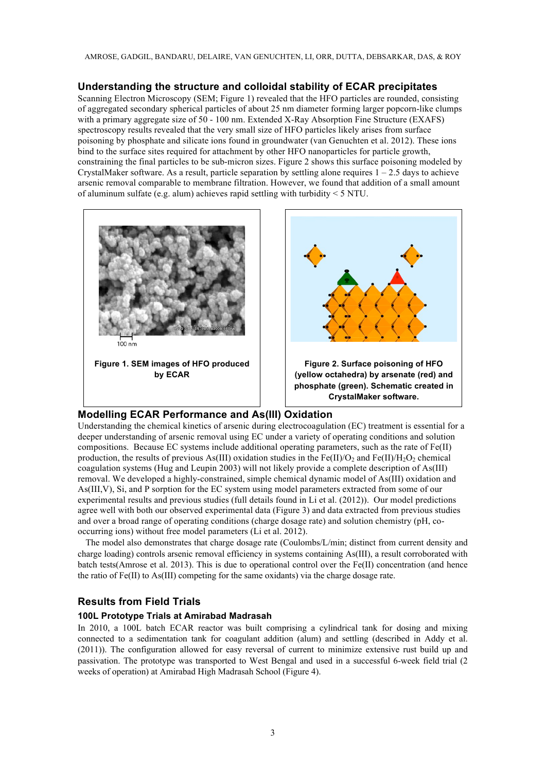AMROSE, GADGIL, BANDARU, DELAIRE, VAN GENUCHTEN, LI, ORR, DUTTA, DEBSARKAR, DAS, & ROY

## **Understanding the structure and colloidal stability of ECAR precipitates**

Scanning Electron Microscopy (SEM; Figure 1) revealed that the HFO particles are rounded, consisting of aggregated secondary spherical particles of about 25 nm diameter forming larger popcorn-like clumps with a primary aggregate size of 50 - 100 nm. Extended X-Ray Absorption Fine Structure (EXAFS) spectroscopy results revealed that the very small size of HFO particles likely arises from surface poisoning by phosphate and silicate ions found in groundwater (van Genuchten et al. 2012). These ions bind to the surface sites required for attachment by other HFO nanoparticles for particle growth, constraining the final particles to be sub-micron sizes. Figure 2 shows this surface poisoning modeled by CrystalMaker software. As a result, particle separation by settling alone requires  $1 - 2.5$  days to achieve arsenic removal comparable to membrane filtration. However, we found that addition of a small amount of aluminum sulfate (e.g. alum) achieves rapid settling with turbidity < 5 NTU.



## **Modelling ECAR Performance and As(III) Oxidation**

Understanding the chemical kinetics of arsenic during electrocoagulation (EC) treatment is essential for a deeper understanding of arsenic removal using EC under a variety of operating conditions and solution compositions. Because EC systems include additional operating parameters, such as the rate of Fe(II) production, the results of previous As(III) oxidation studies in the Fe(II)/O<sub>2</sub> and Fe(II)/H<sub>2</sub>O<sub>2</sub> chemical coagulation systems (Hug and Leupin 2003) will not likely provide a complete description of As(III) removal. We developed a highly-constrained, simple chemical dynamic model of As(III) oxidation and As(III,V), Si, and P sorption for the EC system using model parameters extracted from some of our experimental results and previous studies (full details found in Li et al. (2012)). Our model predictions agree well with both our observed experimental data (Figure 3) and data extracted from previous studies and over a broad range of operating conditions (charge dosage rate) and solution chemistry (pH, cooccurring ions) without free model parameters (Li et al. 2012).

The model also demonstrates that charge dosage rate (Coulombs/L/min; distinct from current density and charge loading) controls arsenic removal efficiency in systems containing As(III), a result corroborated with batch tests(Amrose et al. 2013). This is due to operational control over the Fe(II) concentration (and hence the ratio of Fe(II) to As(III) competing for the same oxidants) via the charge dosage rate.

## **Results from Field Trials**

## **100L Prototype Trials at Amirabad Madrasah**

In 2010, a 100L batch ECAR reactor was built comprising a cylindrical tank for dosing and mixing connected to a sedimentation tank for coagulant addition (alum) and settling (described in Addy et al. (2011)). The configuration allowed for easy reversal of current to minimize extensive rust build up and passivation. The prototype was transported to West Bengal and used in a successful 6-week field trial (2 weeks of operation) at Amirabad High Madrasah School (Figure 4).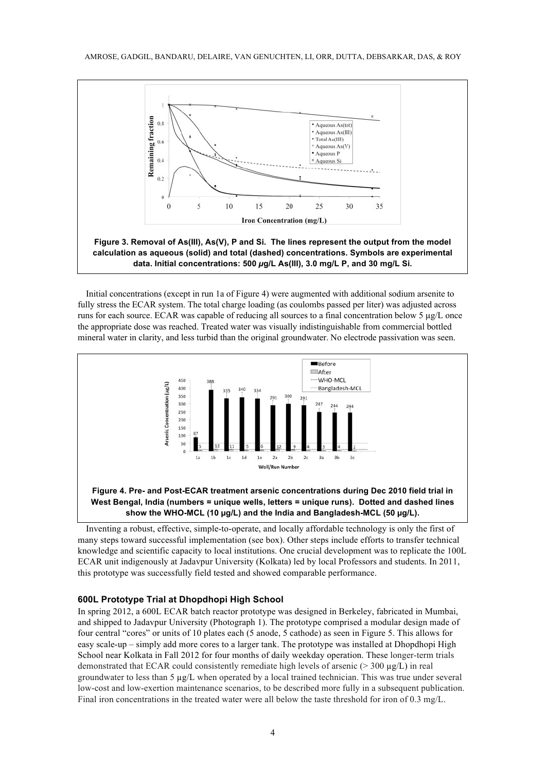

Initial concentrations (except in run 1a of Figure 4) were augmented with additional sodium arsenite to fully stress the ECAR system. The total charge loading (as coulombs passed per liter) was adjusted across runs for each source. ECAR was capable of reducing all sources to a final concentration below 5 µg/L once the appropriate dose was reached. Treated water was visually indistinguishable from commercial bottled mineral water in clarity, and less turbid than the original groundwater. No electrode passivation was seen.





Inventing a robust, effective, simple-to-operate, and locally affordable technology is only the first of many steps toward successful implementation (see box). Other steps include efforts to transfer technical knowledge and scientific capacity to local institutions. One crucial development was to replicate the 100L ECAR unit indigenously at Jadavpur University (Kolkata) led by local Professors and students. In 2011, this prototype was successfully field tested and showed comparable performance.

#### **600L Prototype Trial at Dhopdhopi High School**

In spring 2012, a 600L ECAR batch reactor prototype was designed in Berkeley, fabricated in Mumbai, and shipped to Jadavpur University (Photograph 1). The prototype comprised a modular design made of four central "cores" or units of 10 plates each (5 anode, 5 cathode) as seen in Figure 5. This allows for easy scale-up – simply add more cores to a larger tank. The prototype was installed at Dhopdhopi High School near Kolkata in Fall 2012 for four months of daily weekday operation. These longer-term trials demonstrated that ECAR could consistently remediate high levels of arsenic ( $>$  300  $\mu$ g/L) in real groundwater to less than 5  $\mu$ g/L when operated by a local trained technician. This was true under several low-cost and low-exertion maintenance scenarios, to be described more fully in a subsequent publication. Final iron concentrations in the treated water were all below the taste threshold for iron of 0.3 mg/L.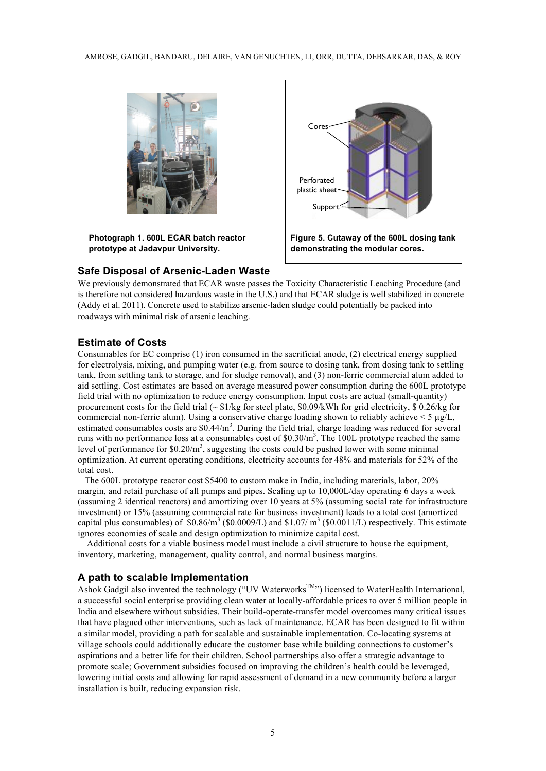

**Photograph 1. 600L ECAR batch reactor prototype at Jadavpur University.** 

#### **Safe Disposal of Arsenic-Laden Waste**



We previously demonstrated that ECAR waste passes the Toxicity Characteristic Leaching Procedure (and is therefore not considered hazardous waste in the U.S.) and that ECAR sludge is well stabilized in concrete (Addy et al. 2011). Concrete used to stabilize arsenic-laden sludge could potentially be packed into roadways with minimal risk of arsenic leaching.

## **Estimate of Costs**

Consumables for EC comprise (1) iron consumed in the sacrificial anode, (2) electrical energy supplied for electrolysis, mixing, and pumping water (e.g. from source to dosing tank, from dosing tank to settling tank, from settling tank to storage, and for sludge removal), and (3) non-ferric commercial alum added to aid settling. Cost estimates are based on average measured power consumption during the 600L prototype field trial with no optimization to reduce energy consumption. Input costs are actual (small-quantity) procurement costs for the field trial  $\sim \frac{$1}{kg}$  for steel plate,  $\frac{$0.9}{kWh}$  for grid electricity,  $\frac{$0.26}{kg}$  for commercial non-ferric alum). Using a conservative charge loading shown to reliably achieve  $\leq 5 \mu g/L$ , estimated consumables costs are  $$0.44/m^3$ . During the field trial, charge loading was reduced for several runs with no performance loss at a consumables cost of  $$0.30/m^3$ . The 100L prototype reached the same level of performance for  $$0.20/m^3$ , suggesting the costs could be pushed lower with some minimal optimization. At current operating conditions, electricity accounts for 48% and materials for 52% of the total cost.

 The 600L prototype reactor cost \$5400 to custom make in India, including materials, labor, 20% margin, and retail purchase of all pumps and pipes. Scaling up to 10,000L/day operating 6 days a week (assuming 2 identical reactors) and amortizing over 10 years at 5% (assuming social rate for infrastructure investment) or 15% (assuming commercial rate for business investment) leads to a total cost (amortized capital plus consumables) of  $$0.86/m^3$  (\$0.0009/L) and \$1.07/ m<sup>3</sup> (\$0.0011/L) respectively. This estimate ignores economies of scale and design optimization to minimize capital cost.

 Additional costs for a viable business model must include a civil structure to house the equipment, inventory, marketing, management, quality control, and normal business margins.

## **A path to scalable Implementation**

Ashok Gadgil also invented the technology ("UV Waterworks<sup>TM</sup>") licensed to WaterHealth International, a successful social enterprise providing clean water at locally-affordable prices to over 5 million people in India and elsewhere without subsidies. Their build-operate-transfer model overcomes many critical issues that have plagued other interventions, such as lack of maintenance. ECAR has been designed to fit within a similar model, providing a path for scalable and sustainable implementation. Co-locating systems at village schools could additionally educate the customer base while building connections to customer's aspirations and a better life for their children. School partnerships also offer a strategic advantage to promote scale; Government subsidies focused on improving the children's health could be leveraged, lowering initial costs and allowing for rapid assessment of demand in a new community before a larger installation is built, reducing expansion risk.